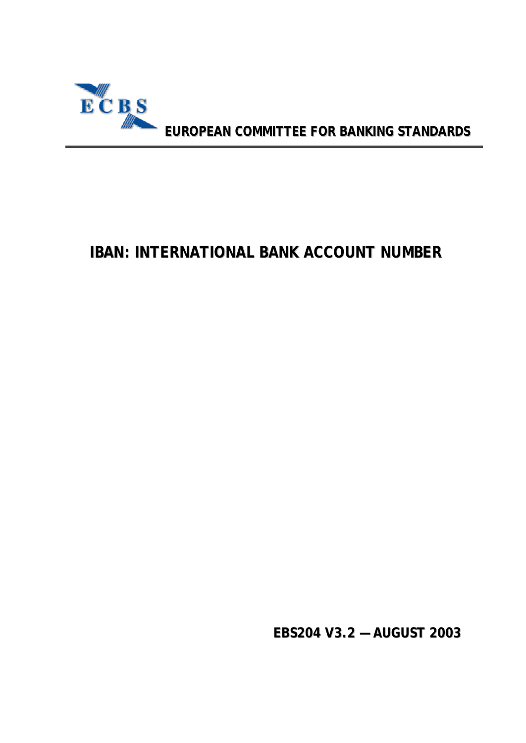

**EUROPEAN COMMITTEE FOR BANKING STANDARDS**

# **IBAN: INTERNATIONAL BANK ACCOUNT NUMBER**

**EBS204 V3.2 — AUGUST 2003**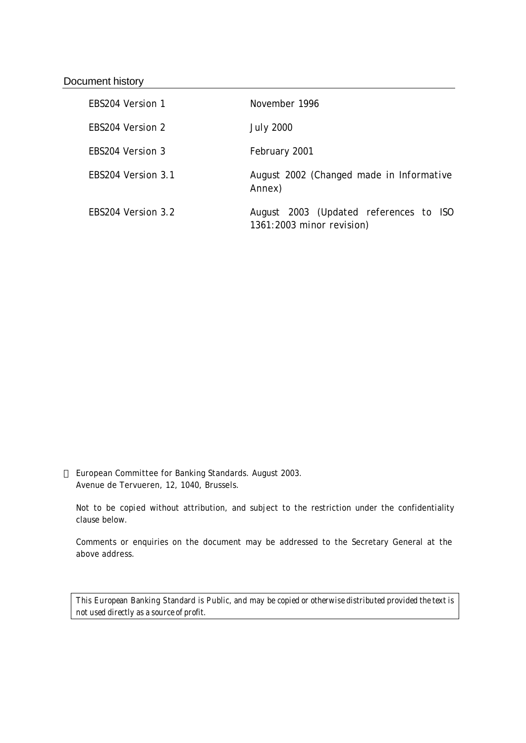#### Document history

| FBS204 Version 1   | November 1996                                                       |
|--------------------|---------------------------------------------------------------------|
| FBS204 Version 2   | <b>July 2000</b>                                                    |
| FBS204 Version 3   | February 2001                                                       |
| FBS204 Version 3.1 | August 2002 (Changed made in Informative<br>Annex)                  |
| FBS204 Version 3.2 | August 2003 (Updated references to ISO<br>1361:2003 minor revision) |

 European Committee for Banking Standards. August 2003. Avenue de Tervueren, 12, 1040, Brussels.

Not to be copied without attribution, and subject to the restriction under the confidentiality clause below.

Comments or enquiries on the document may be addressed to the Secretary General at the above address.

*This European Banking Standard is Public, and may be copied or otherwise distributed provided the text is not used directly as a source of profit.*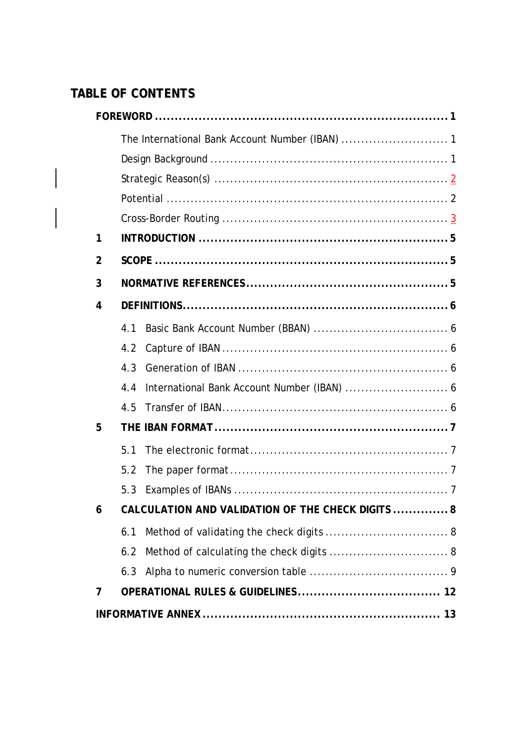# **TABLE OF CONTENTS**

| 1              |                                                    |  |
|----------------|----------------------------------------------------|--|
| $\overline{2}$ |                                                    |  |
| 3              |                                                    |  |
| 4              |                                                    |  |
|                | 4.1                                                |  |
|                | 4.2                                                |  |
|                | 4.3                                                |  |
|                | International Bank Account Number (IBAN)  6<br>4.4 |  |
|                | 4.5                                                |  |
| 5              |                                                    |  |
|                | 5.1                                                |  |
|                | 5.2                                                |  |
|                | 5.3                                                |  |
| 6              | CALCULATION AND VALIDATION OF THE CHECK DIGITS  8  |  |
|                | 6.1                                                |  |
|                | Method of calculating the check digits  8<br>6.2   |  |
|                | 6.3                                                |  |
| 7              |                                                    |  |
|                |                                                    |  |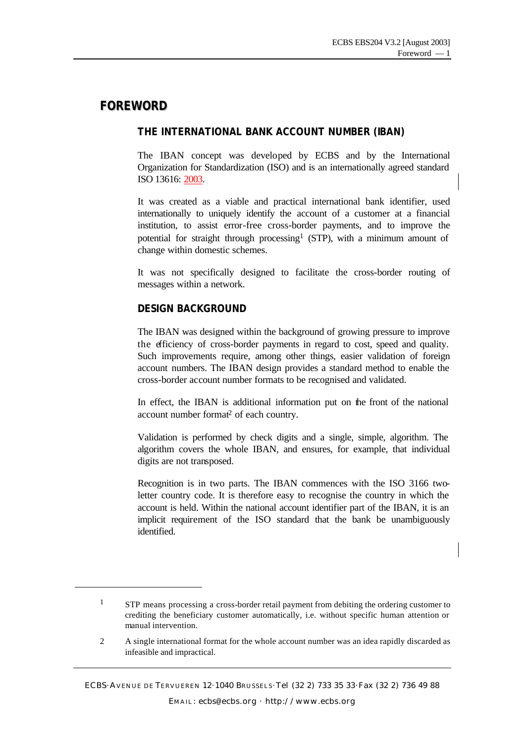### **FOREWORD**

l

#### **THE INTERNATIONAL BANK ACCOUNT NUMBER (IBAN)**

The IBAN concept was developed by ECBS and by the International Organization for Standardization (ISO) and is an internationally agreed standard ISO 13616: 2003.

It was created as a viable and practical international bank identifier, used internationally to uniquely identify the account of a customer at a financial institution, to assist error-free cross-border payments, and to improve the potential for straight through processing<sup>1</sup> (STP), with a minimum amount of change within domestic schemes.

It was not specifically designed to facilitate the cross-border routing of messages within a network.

#### **DESIGN BACKGROUND**

The IBAN was designed within the background of growing pressure to improve the efficiency of cross-border payments in regard to cost, speed and quality. Such improvements require, among other things, easier validation of foreign account numbers. The IBAN design provides a standard method to enable the cross-border account number formats to be recognised and validated.

In effect, the IBAN is additional information put on the front of the national account number format<sup>2</sup> of each country.

Validation is performed by check digits and a single, simple, algorithm. The algorithm covers the whole IBAN, and ensures, for example, that individual digits are not transposed.

Recognition is in two parts. The IBAN commences with the ISO 3166 twoletter country code. It is therefore easy to recognise the country in which the account is held. Within the national account identifier part of the IBAN, it is an implicit requirement of the ISO standard that the bank be unambiguously identified.

<sup>&</sup>lt;sup>1</sup> STP means processing a cross-border retail payment from debiting the ordering customer to crediting the beneficiary customer automatically, i.e. without specific human attention or manual intervention.

<sup>2</sup> A single international format for the whole account number was an idea rapidly discarded as infeasible and impractical.

ECBS·AVENUE DE TERVUEREN 12·1040 BRUSSELS ·Tel (32 2) 733 35 33·Fax (32 2) 736 49 88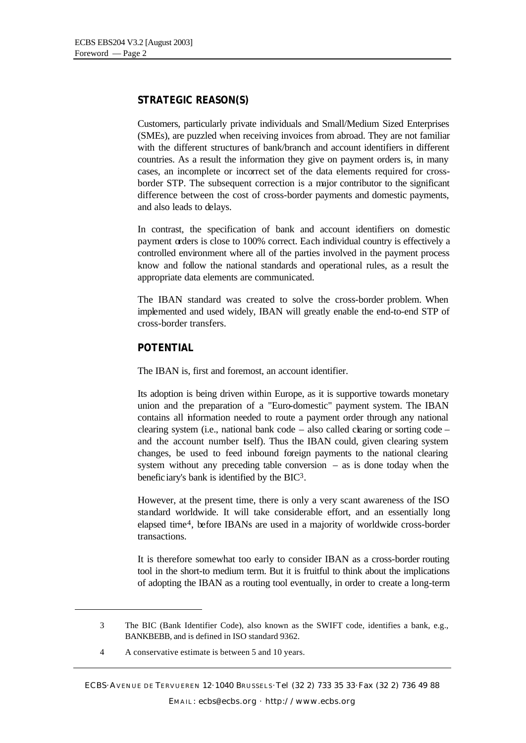#### **STRATEGIC REASON(S)**

Customers, particularly private individuals and Small/Medium Sized Enterprises (SMEs), are puzzled when receiving invoices from abroad. They are not familiar with the different structures of bank/branch and account identifiers in different countries. As a result the information they give on payment orders is, in many cases, an incomplete or incorrect set of the data elements required for crossborder STP. The subsequent correction is a major contributor to the significant difference between the cost of cross-border payments and domestic payments, and also leads to delays.

In contrast, the specification of bank and account identifiers on domestic payment orders is close to 100% correct. Each individual country is effectively a controlled environment where all of the parties involved in the payment process know and follow the national standards and operational rules, as a result the appropriate data elements are communicated.

The IBAN standard was created to solve the cross-border problem. When implemented and used widely, IBAN will greatly enable the end-to-end STP of cross-border transfers.

#### **POTENTIAL**

The IBAN is, first and foremost, an account identifier.

Its adoption is being driven within Europe, as it is supportive towards monetary union and the preparation of a "Euro-domestic" payment system. The IBAN contains all information needed to route a payment order through any national clearing system (i.e., national bank code  $-$  also called clearing or sorting code  $$ and the account number iself). Thus the IBAN could, given clearing system changes, be used to feed inbound foreign payments to the national clearing system without any preceding table conversion – as is done today when the beneficiary's bank is identified by the BIC3.

However, at the present time, there is only a very scant awareness of the ISO standard worldwide. It will take considerable effort, and an essentially long elapsed time4, before IBANs are used in a majority of worldwide cross-border transactions.

It is therefore somewhat too early to consider IBAN as a cross-border routing tool in the short-to medium term. But it is fruitful to think about the implications of adopting the IBAN as a routing tool eventually, in order to create a long-term

l

<sup>3</sup> The BIC (Bank Identifier Code), also known as the SWIFT code, identifies a bank, e.g., BANKBEBB, and is defined in ISO standard 9362.

<sup>4</sup> A conservative estimate is between 5 and 10 years.

ECBS·AVENUE DE TERVUEREN 12·1040 BRUSSELS ·Tel (32 2) 733 35 33·Fax (32 2) 736 49 88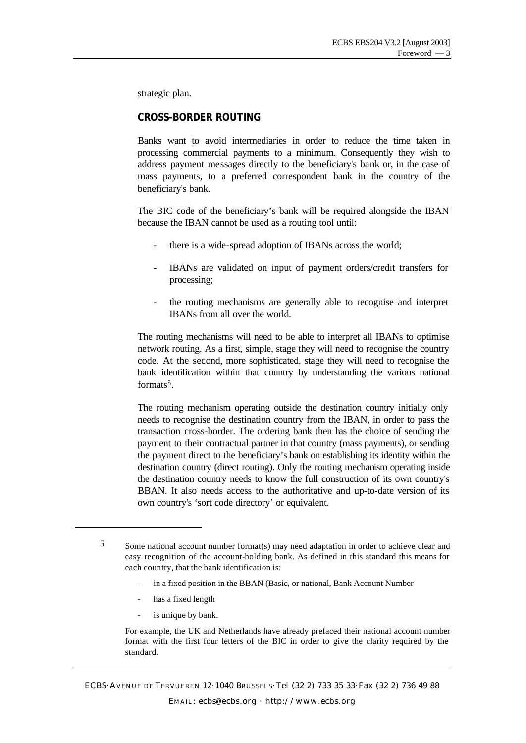strategic plan.

#### **CROSS-BORDER ROUTING**

Banks want to avoid intermediaries in order to reduce the time taken in processing commercial payments to a minimum. Consequently they wish to address payment messages directly to the beneficiary's bank or, in the case of mass payments, to a preferred correspondent bank in the country of the beneficiary's bank.

The BIC code of the beneficiary's bank will be required alongside the IBAN because the IBAN cannot be used as a routing tool until:

- there is a wide-spread adoption of IBANs across the world;
- IBANs are validated on input of payment orders/credit transfers for processing;
- the routing mechanisms are generally able to recognise and interpret IBANs from all over the world.

The routing mechanisms will need to be able to interpret all IBANs to optimise network routing. As a first, simple, stage they will need to recognise the country code. At the second, more sophisticated, stage they will need to recognise the bank identification within that country by understanding the various national formats5.

The routing mechanism operating outside the destination country initially only needs to recognise the destination country from the IBAN, in order to pass the transaction cross-border. The ordering bank then has the choice of sending the payment to their contractual partner in that country (mass payments), or sending the payment direct to the beneficiary's bank on establishing its identity within the destination country (direct routing). Only the routing mechanism operating inside the destination country needs to know the full construction of its own country's BBAN. It also needs access to the authoritative and up-to-date version of its own country's 'sort code directory' or equivalent.

- in a fixed position in the BBAN (Basic, or national, Bank Account Number
- has a fixed length

l

is unique by bank.

For example, the UK and Netherlands have already prefaced their national account number format with the first four letters of the BIC in order to give the clarity required by the standard.

<sup>5</sup> Some national account number format(s) may need adaptation in order to achieve clear and easy recognition of the account-holding bank. As defined in this standard this means for each country, that the bank identification is:

ECBS·AVENUE DE TERVUEREN 12·1040 BRUSSELS ·Tel (32 2) 733 35 33·Fax (32 2) 736 49 88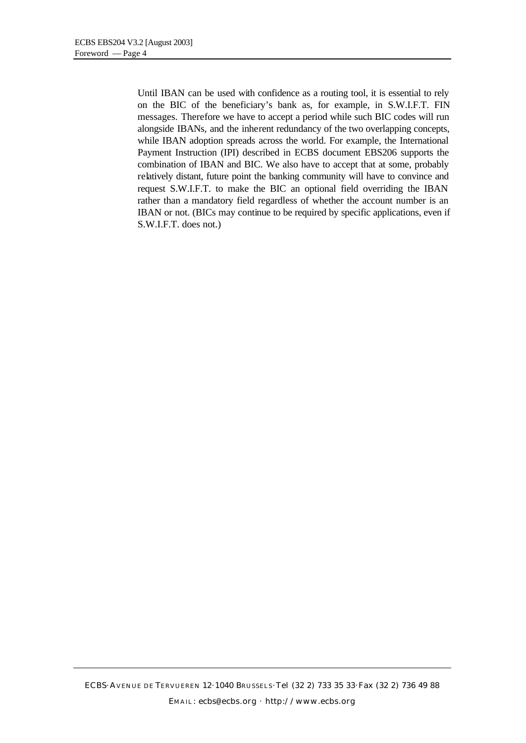Until IBAN can be used with confidence as a routing tool, it is essential to rely on the BIC of the beneficiary's bank as, for example, in S.W.I.F.T. FIN messages. Therefore we have to accept a period while such BIC codes will run alongside IBANs, and the inherent redundancy of the two overlapping concepts, while IBAN adoption spreads across the world. For example, the International Payment Instruction (IPI) described in ECBS document EBS206 supports the combination of IBAN and BIC. We also have to accept that at some, probably relatively distant, future point the banking community will have to convince and request S.W.I.F.T. to make the BIC an optional field overriding the IBAN rather than a mandatory field regardless of whether the account number is an IBAN or not. (BICs may continue to be required by specific applications, even if S.W.I.F.T. does not.)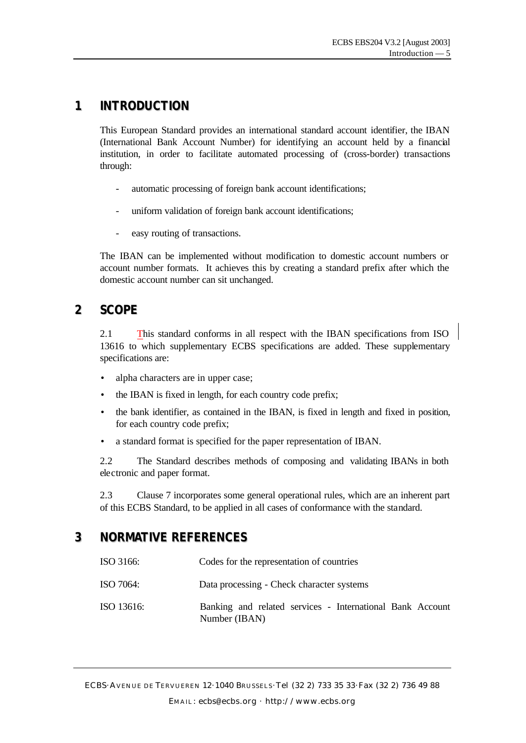# **1 INTRODUCTION**

This European Standard provides an international standard account identifier, the IBAN (International Bank Account Number) for identifying an account held by a financial institution, in order to facilitate automated processing of (cross-border) transactions through:

- automatic processing of foreign bank account identifications;
- uniform validation of foreign bank account identifications;
- easy routing of transactions.

The IBAN can be implemented without modification to domestic account numbers or account number formats. It achieves this by creating a standard prefix after which the domestic account number can sit unchanged.

## **2 SCOPE**

2.1 This standard conforms in all respect with the IBAN specifications from ISO 13616 to which supplementary ECBS specifications are added. These supplementary specifications are:

- alpha characters are in upper case;
- the IBAN is fixed in length, for each country code prefix;
- the bank identifier, as contained in the IBAN, is fixed in length and fixed in position, for each country code prefix;
- a standard format is specified for the paper representation of IBAN.

2.2 The Standard describes methods of composing and validating IBANs in both electronic and paper format.

2.3 Clause 7 incorporates some general operational rules, which are an inherent part of this ECBS Standard, to be applied in all cases of conformance with the standard.

# **3 NORMATIVE REFERENCES**

| ISO 3166:  | Codes for the representation of countries                                  |
|------------|----------------------------------------------------------------------------|
| ISO 7064:  | Data processing - Check character systems                                  |
| ISO 13616: | Banking and related services - International Bank Account<br>Number (IBAN) |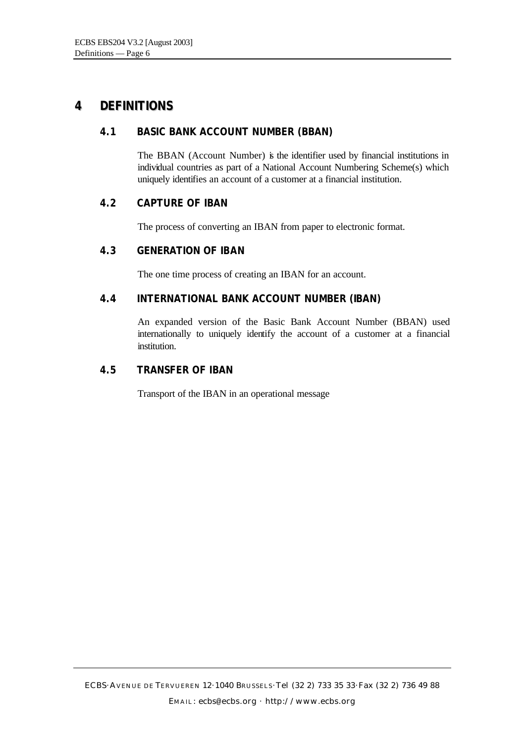# **4 DEFINITIONS**

#### **4.1 BASIC BANK ACCOUNT NUMBER (BBAN)**

The BBAN (Account Number) is the identifier used by financial institutions in individual countries as part of a National Account Numbering Scheme(s) which uniquely identifies an account of a customer at a financial institution.

#### **4.2 CAPTURE OF IBAN**

The process of converting an IBAN from paper to electronic format.

#### **4.3 GENERATION OF IBAN**

The one time process of creating an IBAN for an account.

#### **4.4 INTERNATIONAL BANK ACCOUNT NUMBER (IBAN)**

An expanded version of the Basic Bank Account Number (BBAN) used internationally to uniquely identify the account of a customer at a financial institution.

#### **4.5 TRANSFER OF IBAN**

Transport of the IBAN in an operational message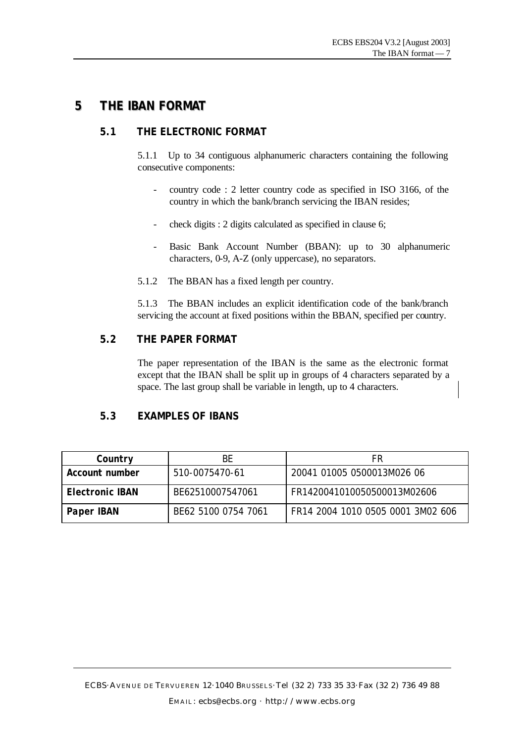### **5 THE IBAN FORMAT**

#### **5.1 THE ELECTRONIC FORMAT**

5.1.1 Up to 34 contiguous alphanumeric characters containing the following consecutive components:

- country code : 2 letter country code as specified in ISO 3166, of the country in which the bank/branch servicing the IBAN resides;
- check digits : 2 digits calculated as specified in clause 6;
- Basic Bank Account Number (BBAN): up to 30 alphanumeric characters, 0-9, A-Z (only uppercase), no separators.
- 5.1.2 The BBAN has a fixed length per country.

5.1.3 The BBAN includes an explicit identification code of the bank/branch servicing the account at fixed positions within the BBAN, specified per country.

#### **5.2 THE PAPER FORMAT**

The paper representation of the IBAN is the same as the electronic format except that the IBAN shall be split up in groups of 4 characters separated by a space. The last group shall be variable in length, up to 4 characters.

#### **5.3 EXAMPLES OF IBANS**

| ВE<br>Country          |                     | FR                                |  |  |  |  |
|------------------------|---------------------|-----------------------------------|--|--|--|--|
| Account number         | 510-0075470-61      | 20041 01005 0500013M026 06        |  |  |  |  |
| <b>Electronic IBAN</b> | BE62510007547061    | FR1420041010050500013M02606       |  |  |  |  |
| <b>Paper IBAN</b>      | BF62 5100 0754 7061 | FR14 2004 1010 0505 0001 3M02 606 |  |  |  |  |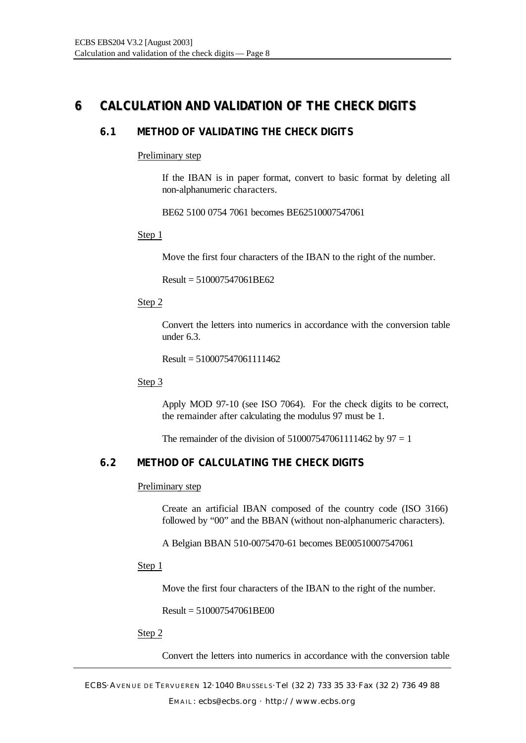# **6 CALCULATION AND VALIDATION OF THE CHECK DIGITS**

#### **6.1 METHOD OF VALIDATING THE CHECK DIGITS**

#### Preliminary step

If the IBAN is in paper format, convert to basic format by deleting all non-alphanumeric characters.

BE62 5100 0754 7061 becomes BE62510007547061

#### Step 1

Move the first four characters of the IBAN to the right of the number.

Result = 510007547061BE62

#### Step 2

Convert the letters into numerics in accordance with the conversion table under 6.3.

Result =  $510007547061111462$ 

#### Step 3

Apply MOD 97-10 (see ISO 7064). For the check digits to be correct, the remainder after calculating the modulus 97 must be 1.

The remainder of the division of  $510007547061111462$  by  $97 = 1$ 

#### **6.2 METHOD OF CALCULATING THE CHECK DIGITS**

#### Preliminary step

Create an artificial IBAN composed of the country code (ISO 3166) followed by "00" and the BBAN (without non-alphanumeric characters).

A Belgian BBAN 510-0075470-61 becomes BE00510007547061

#### Step 1

Move the first four characters of the IBAN to the right of the number.

Result = 510007547061BE00

#### Step 2

Convert the letters into numerics in accordance with the conversion table

ECBS·AVENUE DE TERVUEREN 12·1040 BRUSSELS ·Tel (32 2) 733 35 33·Fax (32 2) 736 49 88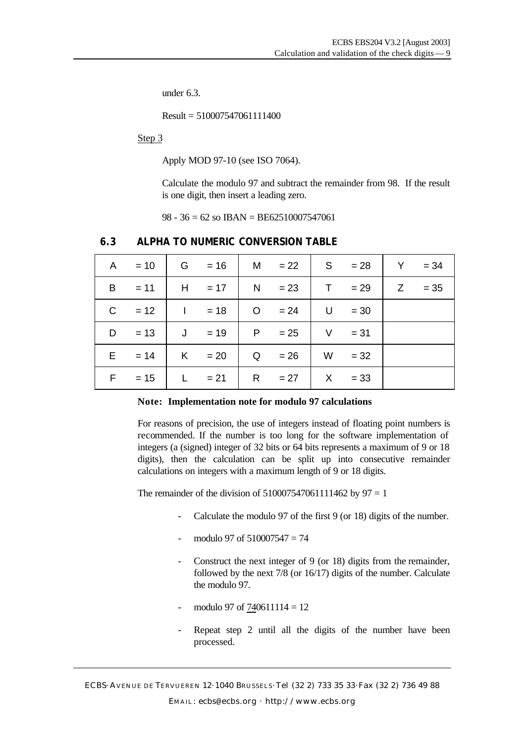under 6.3.

 $Result = 510007547061111400$ 

Step 3

Apply MOD 97-10 (see ISO 7064).

Calculate the modulo 97 and subtract the remainder from 98. If the result is one digit, then insert a leading zero.

98 - 36 = 62 so IBAN = BE62510007547061

|   |          |   |                 | A = 10   G = 16   M = 22   S = 28   Y |          | $= 34$    |
|---|----------|---|-----------------|---------------------------------------|----------|-----------|
|   | $B = 11$ |   |                 | $H = 17$   N = 23   T = 29            |          | $ Z = 35$ |
|   | $C = 12$ |   | $1 = 18$ 0 = 24 |                                       | $U = 30$ |           |
|   | $D = 13$ |   | $J = 19$        | $P = 25$                              | $V = 31$ |           |
|   | $E = 14$ | K | $= 20$          | $Q = 26$                              | $W = 32$ |           |
| F | $= 15$   |   | $L = 21$        | $R = 27$                              | $X = 33$ |           |

#### **6.3 ALPHA TO NUMERIC CONVERSION TABLE**

#### **Note: Implementation note for modulo 97 calculations**

For reasons of precision, the use of integers instead of floating point numbers is recommended. If the number is too long for the software implementation of integers (a (signed) integer of 32 bits or 64 bits represents a maximum of 9 or 18 digits), then the calculation can be split up into consecutive remainder calculations on integers with a maximum length of 9 or 18 digits.

The remainder of the division of  $510007547061111462$  by  $97 = 1$ 

- Calculate the modulo 97 of the first 9 (or 18) digits of the number.
- modulo 97 of  $510007547 = 74$
- Construct the next integer of 9 (or 18) digits from the remainder, followed by the next 7/8 (or 16/17) digits of the number. Calculate the modulo 97.
- modulo 97 of  $740611114 = 12$
- Repeat step 2 until all the digits of the number have been processed.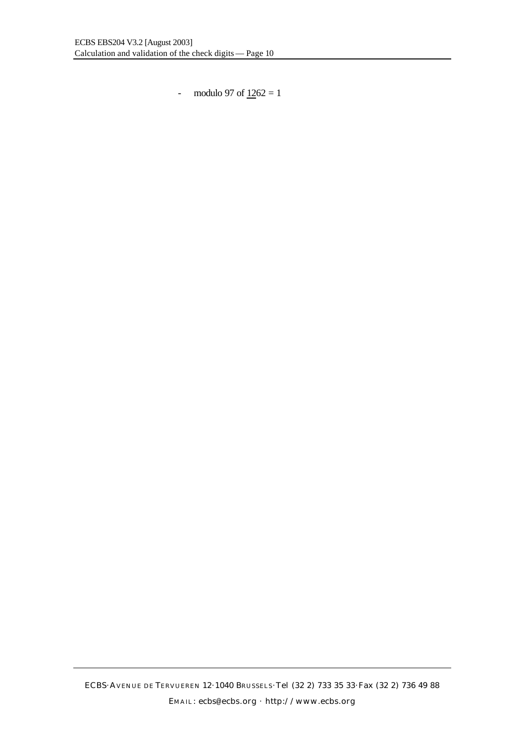- modulo 97 of  $1262 = 1$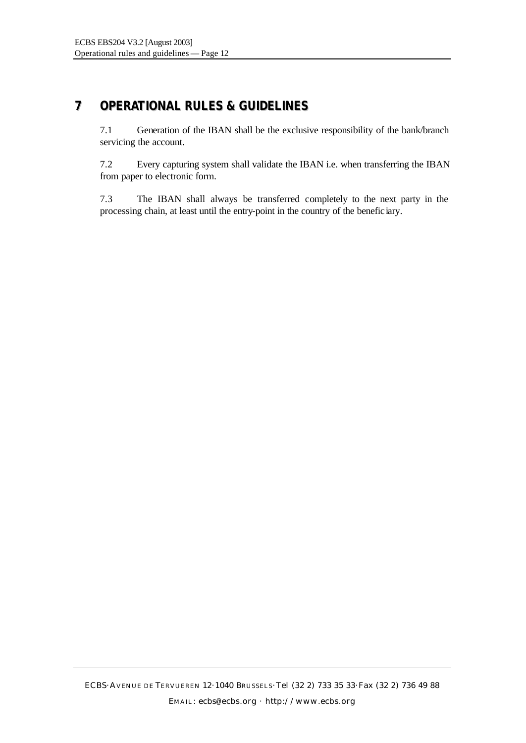# **7 OPERATIONAL RULES & GUIDELINES**

7.1 Generation of the IBAN shall be the exclusive responsibility of the bank/branch servicing the account.

7.2 Every capturing system shall validate the IBAN i.e. when transferring the IBAN from paper to electronic form.

7.3 The IBAN shall always be transferred completely to the next party in the processing chain, at least until the entry-point in the country of the beneficiary.